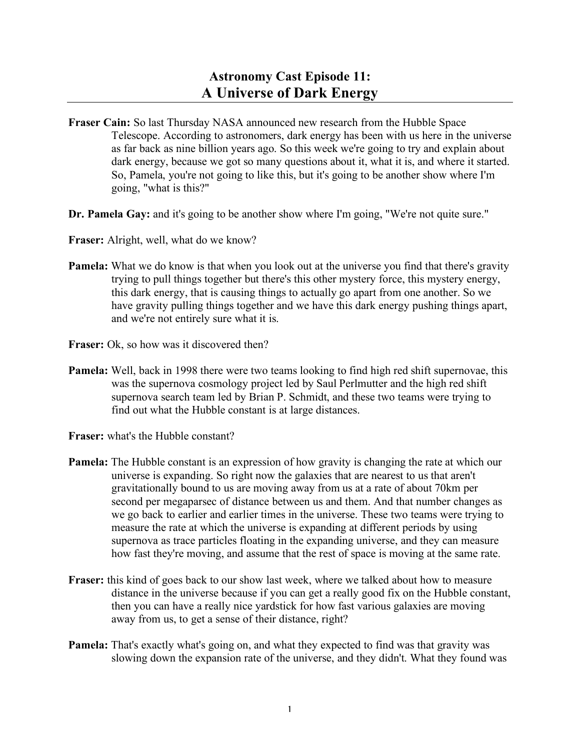## **Astronomy Cast Episode 11: A Universe of Dark Energy**

- **Fraser Cain:** So last Thursday NASA announced new research from the Hubble Space Telescope. According to astronomers, dark energy has been with us here in the universe as far back as nine billion years ago. So this week we're going to try and explain about dark energy, because we got so many questions about it, what it is, and where it started. So, Pamela, you're not going to like this, but it's going to be another show where I'm going, "what is this?"
- **Dr.** Pamela Gay: and it's going to be another show where I'm going, "We're not quite sure."
- **Fraser:** Alright, well, what do we know?
- **Pamela:** What we do know is that when you look out at the universe you find that there's gravity trying to pull things together but there's this other mystery force, this mystery energy, this dark energy, that is causing things to actually go apart from one another. So we have gravity pulling things together and we have this dark energy pushing things apart, and we're not entirely sure what it is.
- **Fraser:** Ok, so how was it discovered then?
- **Pamela:** Well, back in 1998 there were two teams looking to find high red shift supernovae, this was the supernova cosmology project led by Saul Perlmutter and the high red shift supernova search team led by Brian P. Schmidt, and these two teams were trying to find out what the Hubble constant is at large distances.
- **Fraser:** what's the Hubble constant?
- **Pamela:** The Hubble constant is an expression of how gravity is changing the rate at which our universe is expanding. So right now the galaxies that are nearest to us that aren't gravitationally bound to us are moving away from us at a rate of about 70km per second per megaparsec of distance between us and them. And that number changes as we go back to earlier and earlier times in the universe. These two teams were trying to measure the rate at which the universe is expanding at different periods by using supernova as trace particles floating in the expanding universe, and they can measure how fast they're moving, and assume that the rest of space is moving at the same rate.
- **Fraser:** this kind of goes back to our show last week, where we talked about how to measure distance in the universe because if you can get a really good fix on the Hubble constant, then you can have a really nice yardstick for how fast various galaxies are moving away from us, to get a sense of their distance, right?
- **Pamela:** That's exactly what's going on, and what they expected to find was that gravity was slowing down the expansion rate of the universe, and they didn't. What they found was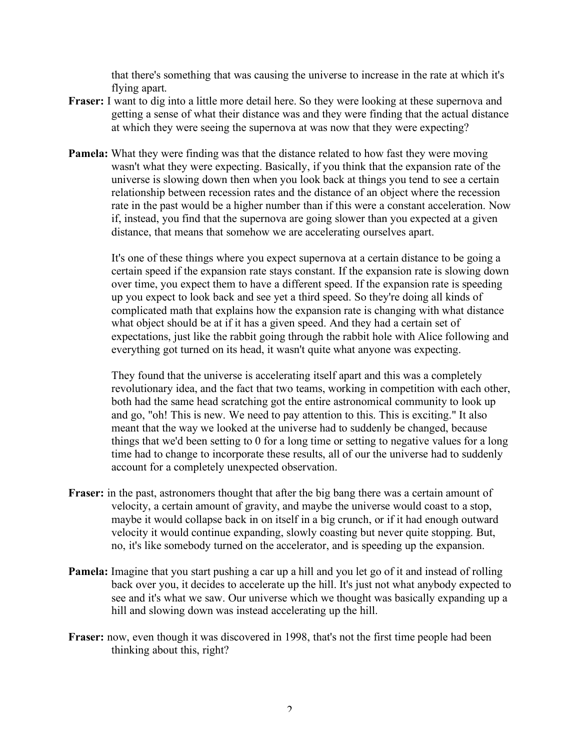that there's something that was causing the universe to increase in the rate at which it's flying apart.

- **Fraser:** I want to dig into a little more detail here. So they were looking at these supernova and getting a sense of what their distance was and they were finding that the actual distance at which they were seeing the supernova at was now that they were expecting?
- **Pamela:** What they were finding was that the distance related to how fast they were moving wasn't what they were expecting. Basically, if you think that the expansion rate of the universe is slowing down then when you look back at things you tend to see a certain relationship between recession rates and the distance of an object where the recession rate in the past would be a higher number than if this were a constant acceleration. Now if, instead, you find that the supernova are going slower than you expected at a given distance, that means that somehow we are accelerating ourselves apart.

It's one of these things where you expect supernova at a certain distance to be going a certain speed if the expansion rate stays constant. If the expansion rate is slowing down over time, you expect them to have a different speed. If the expansion rate is speeding up you expect to look back and see yet a third speed. So they're doing all kinds of complicated math that explains how the expansion rate is changing with what distance what object should be at if it has a given speed. And they had a certain set of expectations, just like the rabbit going through the rabbit hole with Alice following and everything got turned on its head, it wasn't quite what anyone was expecting.

They found that the universe is accelerating itself apart and this was a completely revolutionary idea, and the fact that two teams, working in competition with each other, both had the same head scratching got the entire astronomical community to look up and go, "oh! This is new. We need to pay attention to this. This is exciting." It also meant that the way we looked at the universe had to suddenly be changed, because things that we'd been setting to 0 for a long time or setting to negative values for a long time had to change to incorporate these results, all of our the universe had to suddenly account for a completely unexpected observation.

- **Fraser:** in the past, astronomers thought that after the big bang there was a certain amount of velocity, a certain amount of gravity, and maybe the universe would coast to a stop, maybe it would collapse back in on itself in a big crunch, or if it had enough outward velocity it would continue expanding, slowly coasting but never quite stopping. But, no, it's like somebody turned on the accelerator, and is speeding up the expansion.
- **Pamela:** Imagine that you start pushing a car up a hill and you let go of it and instead of rolling back over you, it decides to accelerate up the hill. It's just not what anybody expected to see and it's what we saw. Our universe which we thought was basically expanding up a hill and slowing down was instead accelerating up the hill.
- **Fraser:** now, even though it was discovered in 1998, that's not the first time people had been thinking about this, right?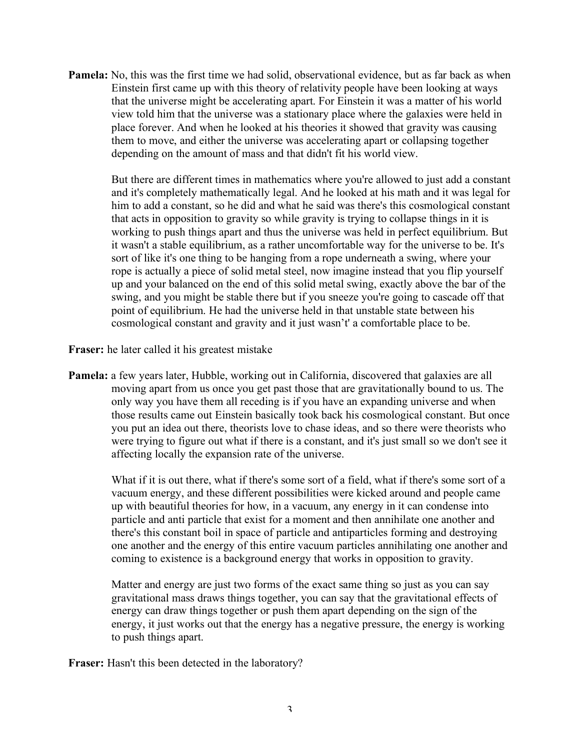**Pamela:** No, this was the first time we had solid, observational evidence, but as far back as when Einstein first came up with this theory of relativity people have been looking at ways that the universe might be accelerating apart. For Einstein it was a matter of his world view told him that the universe was a stationary place where the galaxies were held in place forever. And when he looked at his theories it showed that gravity was causing them to move, and either the universe was accelerating apart or collapsing together depending on the amount of mass and that didn't fit his world view.

But there are different times in mathematics where you're allowed to just add a constant and it's completely mathematically legal. And he looked at his math and it was legal for him to add a constant, so he did and what he said was there's this cosmological constant that acts in opposition to gravity so while gravity is trying to collapse things in it is working to push things apart and thus the universe was held in perfect equilibrium. But it wasn't a stable equilibrium, as a rather uncomfortable way for the universe to be. It's sort of like it's one thing to be hanging from a rope underneath a swing, where your rope is actually a piece of solid metal steel, now imagine instead that you flip yourself up and your balanced on the end of this solid metal swing, exactly above the bar of the swing, and you might be stable there but if you sneeze you're going to cascade off that point of equilibrium. He had the universe held in that unstable state between his cosmological constant and gravity and it just wasn't' a comfortable place to be.

**Fraser:** he later called it his greatest mistake

**Pamela:** a few years later, Hubble, working out in California, discovered that galaxies are all moving apart from us once you get past those that are gravitationally bound to us. The only way you have them all receding is if you have an expanding universe and when those results came out Einstein basically took back his cosmological constant. But once you put an idea out there, theorists love to chase ideas, and so there were theorists who were trying to figure out what if there is a constant, and it's just small so we don't see it affecting locally the expansion rate of the universe.

What if it is out there, what if there's some sort of a field, what if there's some sort of a vacuum energy, and these different possibilities were kicked around and people came up with beautiful theories for how, in a vacuum, any energy in it can condense into particle and anti particle that exist for a moment and then annihilate one another and there's this constant boil in space of particle and antiparticles forming and destroying one another and the energy of this entire vacuum particles annihilating one another and coming to existence is a background energy that works in opposition to gravity.

Matter and energy are just two forms of the exact same thing so just as you can say gravitational mass draws things together, you can say that the gravitational effects of energy can draw things together or push them apart depending on the sign of the energy, it just works out that the energy has a negative pressure, the energy is working to push things apart.

**Fraser:** Hasn't this been detected in the laboratory?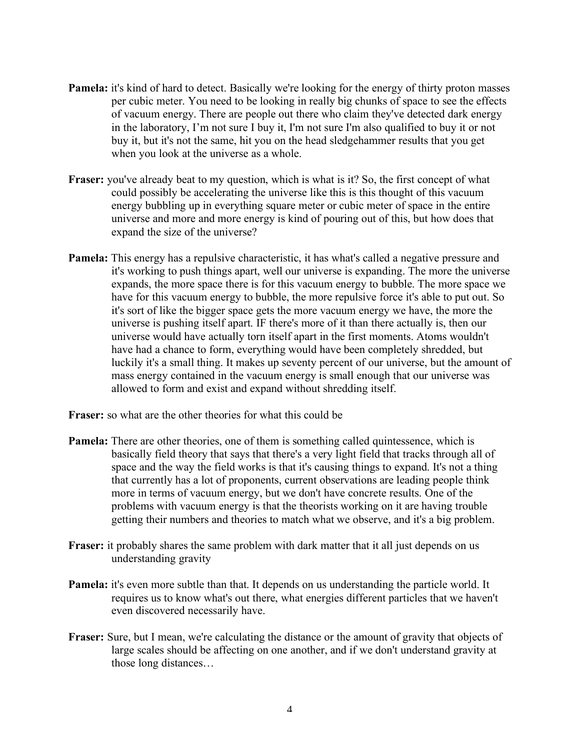- **Pamela:** it's kind of hard to detect. Basically we're looking for the energy of thirty proton masses per cubic meter. You need to be looking in really big chunks of space to see the effects of vacuum energy. There are people out there who claim they've detected dark energy in the laboratory, I'm not sure I buy it, I'm not sure I'm also qualified to buy it or not buy it, but it's not the same, hit you on the head sledgehammer results that you get when you look at the universe as a whole.
- **Fraser:** you've already beat to my question, which is what is it? So, the first concept of what could possibly be accelerating the universe like this is this thought of this vacuum energy bubbling up in everything square meter or cubic meter of space in the entire universe and more and more energy is kind of pouring out of this, but how does that expand the size of the universe?
- **Pamela:** This energy has a repulsive characteristic, it has what's called a negative pressure and it's working to push things apart, well our universe is expanding. The more the universe expands, the more space there is for this vacuum energy to bubble. The more space we have for this vacuum energy to bubble, the more repulsive force it's able to put out. So it's sort of like the bigger space gets the more vacuum energy we have, the more the universe is pushing itself apart. IF there's more of it than there actually is, then our universe would have actually torn itself apart in the first moments. Atoms wouldn't have had a chance to form, everything would have been completely shredded, but luckily it's a small thing. It makes up seventy percent of our universe, but the amount of mass energy contained in the vacuum energy is small enough that our universe was allowed to form and exist and expand without shredding itself.

**Fraser:** so what are the other theories for what this could be

- **Pamela:** There are other theories, one of them is something called quintessence, which is basically field theory that says that there's a very light field that tracks through all of space and the way the field works is that it's causing things to expand. It's not a thing that currently has a lot of proponents, current observations are leading people think more in terms of vacuum energy, but we don't have concrete results. One of the problems with vacuum energy is that the theorists working on it are having trouble getting their numbers and theories to match what we observe, and it's a big problem.
- **Fraser:** it probably shares the same problem with dark matter that it all just depends on us understanding gravity
- **Pamela:** it's even more subtle than that. It depends on us understanding the particle world. It requires us to know what's out there, what energies different particles that we haven't even discovered necessarily have.
- **Fraser:** Sure, but I mean, we're calculating the distance or the amount of gravity that objects of large scales should be affecting on one another, and if we don't understand gravity at those long distances…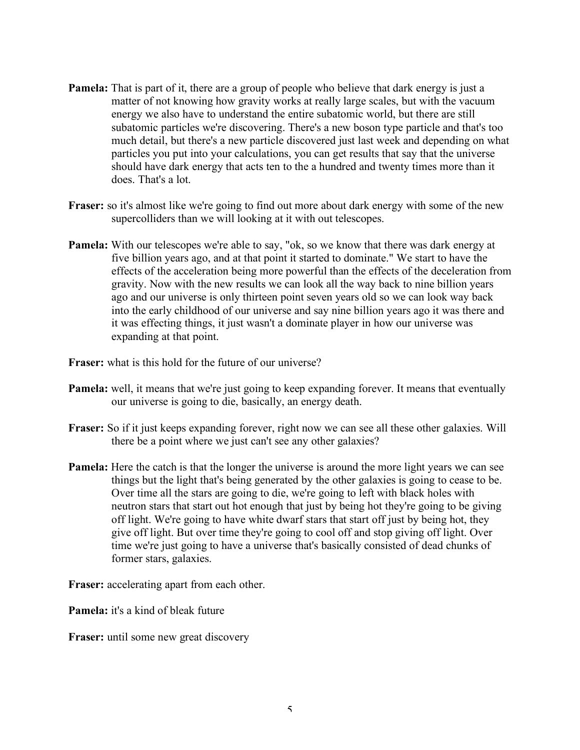- **Pamela:** That is part of it, there are a group of people who believe that dark energy is just a matter of not knowing how gravity works at really large scales, but with the vacuum energy we also have to understand the entire subatomic world, but there are still subatomic particles we're discovering. There's a new boson type particle and that's too much detail, but there's a new particle discovered just last week and depending on what particles you put into your calculations, you can get results that say that the universe should have dark energy that acts ten to the a hundred and twenty times more than it does. That's a lot.
- **Fraser:** so it's almost like we're going to find out more about dark energy with some of the new supercolliders than we will looking at it with out telescopes.
- **Pamela:** With our telescopes we're able to say, "ok, so we know that there was dark energy at five billion years ago, and at that point it started to dominate." We start to have the effects of the acceleration being more powerful than the effects of the deceleration from gravity. Now with the new results we can look all the way back to nine billion years ago and our universe is only thirteen point seven years old so we can look way back into the early childhood of our universe and say nine billion years ago it was there and it was effecting things, it just wasn't a dominate player in how our universe was expanding at that point.

**Fraser:** what is this hold for the future of our universe?

- **Pamela:** well, it means that we're just going to keep expanding forever. It means that eventually our universe is going to die, basically, an energy death.
- **Fraser:** So if it just keeps expanding forever, right now we can see all these other galaxies. Will there be a point where we just can't see any other galaxies?
- **Pamela:** Here the catch is that the longer the universe is around the more light years we can see things but the light that's being generated by the other galaxies is going to cease to be. Over time all the stars are going to die, we're going to left with black holes with neutron stars that start out hot enough that just by being hot they're going to be giving off light. We're going to have white dwarf stars that start off just by being hot, they give off light. But over time they're going to cool off and stop giving off light. Over time we're just going to have a universe that's basically consisted of dead chunks of former stars, galaxies.

**Fraser:** accelerating apart from each other.

**Pamela:** it's a kind of bleak future

**Fraser:** until some new great discovery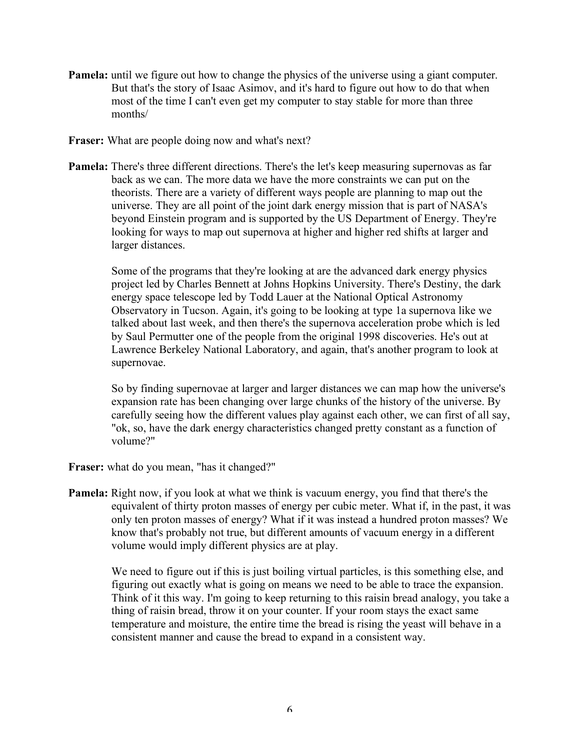- **Pamela:** until we figure out how to change the physics of the universe using a giant computer. But that's the story of Isaac Asimov, and it's hard to figure out how to do that when most of the time I can't even get my computer to stay stable for more than three months/
- **Fraser:** What are people doing now and what's next?
- **Pamela:** There's three different directions. There's the let's keep measuring supernovas as far back as we can. The more data we have the more constraints we can put on the theorists. There are a variety of different ways people are planning to map out the universe. They are all point of the joint dark energy mission that is part of NASA's beyond Einstein program and is supported by the US Department of Energy. They're looking for ways to map out supernova at higher and higher red shifts at larger and larger distances.

Some of the programs that they're looking at are the advanced dark energy physics project led by Charles Bennett at Johns Hopkins University. There's Destiny, the dark energy space telescope led by Todd Lauer at the National Optical Astronomy Observatory in Tucson. Again, it's going to be looking at type 1a supernova like we talked about last week, and then there's the supernova acceleration probe which is led by Saul Permutter one of the people from the original 1998 discoveries. He's out at Lawrence Berkeley National Laboratory, and again, that's another program to look at supernovae.

So by finding supernovae at larger and larger distances we can map how the universe's expansion rate has been changing over large chunks of the history of the universe. By carefully seeing how the different values play against each other, we can first of all say, "ok, so, have the dark energy characteristics changed pretty constant as a function of volume?"

**Fraser:** what do you mean, "has it changed?"

**Pamela:** Right now, if you look at what we think is vacuum energy, you find that there's the equivalent of thirty proton masses of energy per cubic meter. What if, in the past, it was only ten proton masses of energy? What if it was instead a hundred proton masses? We know that's probably not true, but different amounts of vacuum energy in a different volume would imply different physics are at play.

We need to figure out if this is just boiling virtual particles, is this something else, and figuring out exactly what is going on means we need to be able to trace the expansion. Think of it this way. I'm going to keep returning to this raisin bread analogy, you take a thing of raisin bread, throw it on your counter. If your room stays the exact same temperature and moisture, the entire time the bread is rising the yeast will behave in a consistent manner and cause the bread to expand in a consistent way.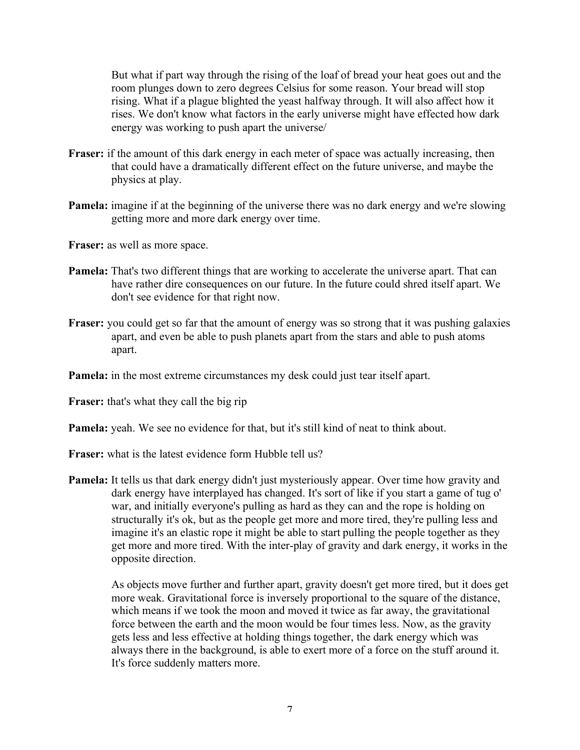But what if part way through the rising of the loaf of bread your heat goes out and the room plunges down to zero degrees Celsius for some reason. Your bread will stop rising. What if a plague blighted the yeast halfway through. It will also affect how it rises. We don't know what factors in the early universe might have effected how dark energy was working to push apart the universe/

- **Fraser:** if the amount of this dark energy in each meter of space was actually increasing, then that could have a dramatically different effect on the future universe, and maybe the physics at play.
- **Pamela:** imagine if at the beginning of the universe there was no dark energy and we're slowing getting more and more dark energy over time.

**Fraser:** as well as more space.

- **Pamela:** That's two different things that are working to accelerate the universe apart. That can have rather dire consequences on our future. In the future could shred itself apart. We don't see evidence for that right now.
- **Fraser:** you could get so far that the amount of energy was so strong that it was pushing galaxies apart, and even be able to push planets apart from the stars and able to push atoms apart.
- **Pamela:** in the most extreme circumstances my desk could just tear itself apart.

**Fraser:** that's what they call the big rip

**Pamela:** yeah. We see no evidence for that, but it's still kind of neat to think about.

- **Fraser:** what is the latest evidence form Hubble tell us?
- **Pamela:** It tells us that dark energy didn't just mysteriously appear. Over time how gravity and dark energy have interplayed has changed. It's sort of like if you start a game of tug o' war, and initially everyone's pulling as hard as they can and the rope is holding on structurally it's ok, but as the people get more and more tired, they're pulling less and imagine it's an elastic rope it might be able to start pulling the people together as they get more and more tired. With the inter-play of gravity and dark energy, it works in the opposite direction.

As objects move further and further apart, gravity doesn't get more tired, but it does get more weak. Gravitational force is inversely proportional to the square of the distance, which means if we took the moon and moved it twice as far away, the gravitational force between the earth and the moon would be four times less. Now, as the gravity gets less and less effective at holding things together, the dark energy which was always there in the background, is able to exert more of a force on the stuff around it. It's force suddenly matters more.